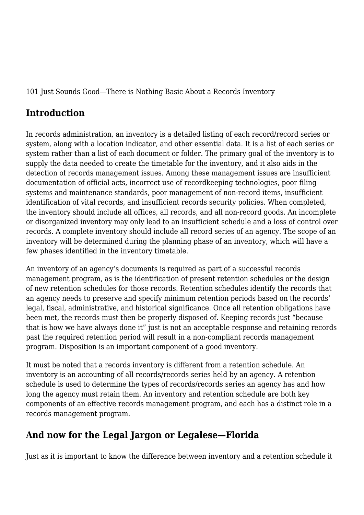101 Just Sounds Good—There is Nothing Basic About a Records Inventory

#### **Introduction**

In records administration, an inventory is a detailed listing of each record/record series or system, along with a location indicator, and other essential data. It is a list of each series or system rather than a list of each document or folder. The primary goal of the inventory is to supply the data needed to create the timetable for the inventory, and it also aids in the detection of records management issues. Among these management issues are insufficient documentation of official acts, incorrect use of recordkeeping technologies, poor filing systems and maintenance standards, poor management of non-record items, insufficient identification of vital records, and insufficient records security policies. When completed, the inventory should include all offices, all records, and all non-record goods. An incomplete or disorganized inventory may only lead to an insufficient schedule and a loss of control over records. A complete inventory should include all record series of an agency. The scope of an inventory will be determined during the planning phase of an inventory, which will have a few phases identified in the inventory timetable.

An inventory of an agency's documents is required as part of a successful records management program, as is the identification of present retention schedules or the design of new retention schedules for those records. Retention schedules identify the records that an agency needs to preserve and specify minimum retention periods based on the records' legal, fiscal, administrative, and historical significance. Once all retention obligations have been met, the records must then be properly disposed of. Keeping records just "because that is how we have always done it" just is not an acceptable response and retaining records past the required retention period will result in a non-compliant records management program. Disposition is an important component of a good inventory.

It must be noted that a records inventory is different from a retention schedule. An inventory is an accounting of all records/records series held by an agency. A retention schedule is used to determine the types of records/records series an agency has and how long the agency must retain them. An inventory and retention schedule are both key components of an effective records management program, and each has a distinct role in a records management program.

#### **And now for the Legal Jargon or Legalese—Florida**

Just as it is important to know the difference between inventory and a retention schedule it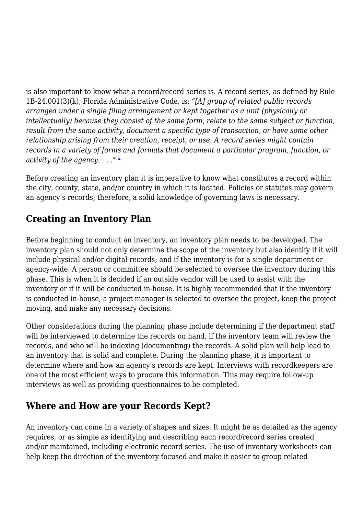is also important to know what a record/record series is. A record series, as defined by Rule 1B-24.001(3)(k), Florida Administrative Code, is: *"[A] group of related public records arranged under a single filing arrangement or kept together as a unit (physically or intellectually) because they consist of the same form, relate to the same subject or function, result from the same activity, document a specific type of transaction, or have some other relationship arising from their creation, receipt, or use. A record series might contain records in a variety of forms and formats that document a particular program, function, or activity of the agency. . . ."* [1](https://magazine.arma.org/javascript:void(0))

Before creating an inventory plan it is imperative to know what constitutes a record within the city, county, state, and/or country in which it is located. Policies or statutes may govern an agency's records; therefore, a solid knowledge of governing laws is necessary.

#### **Creating an Inventory Plan**

Before beginning to conduct an inventory, an inventory plan needs to be developed. The inventory plan should not only determine the scope of the inventory but also identify if it will include physical and/or digital records; and if the inventory is for a single department or agency-wide. A person or committee should be selected to oversee the inventory during this phase. This is when it is decided if an outside vendor will be used to assist with the inventory or if it will be conducted in-house. It is highly recommended that if the inventory is conducted in-house, a project manager is selected to oversee the project, keep the project moving, and make any necessary decisions.

Other considerations during the planning phase include determining if the department staff will be interviewed to determine the records on hand, if the inventory team will review the records, and who will be indexing (documenting) the records. A solid plan will help lead to an inventory that is solid and complete. During the planning phase, it is important to determine where and how an agency's records are kept. Interviews with recordkeepers are one of the most efficient ways to procure this information. This may require follow-up interviews as well as providing questionnaires to be completed.

#### **Where and How are your Records Kept?**

An inventory can come in a variety of shapes and sizes. It might be as detailed as the agency requires, or as simple as identifying and describing each record/record series created and/or maintained, including electronic record series. The use of inventory worksheets can help keep the direction of the inventory focused and make it easier to group related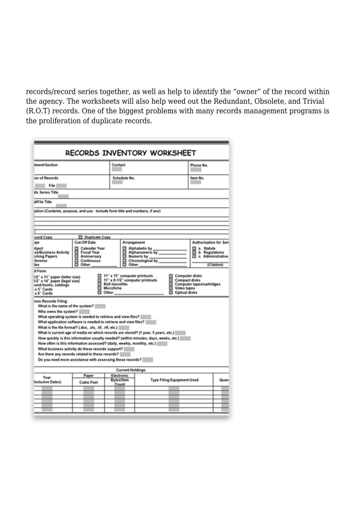records/record series together, as well as help to identify the "owner" of the record within the agency. The worksheets will also help weed out the Redundant, Obsolete, and Trivial (R.O.T) records. One of the biggest problems with many records management programs is the proliferation of duplicate records.

| RECORDS INVENTORY WORKSHEET                                                                                   |                                                                                                                                                                                                                                                                                                                                                                                                                                                                                                                                                                                                                                |                              |                                  |                                   |                                          |            |
|---------------------------------------------------------------------------------------------------------------|--------------------------------------------------------------------------------------------------------------------------------------------------------------------------------------------------------------------------------------------------------------------------------------------------------------------------------------------------------------------------------------------------------------------------------------------------------------------------------------------------------------------------------------------------------------------------------------------------------------------------------|------------------------------|----------------------------------|-----------------------------------|------------------------------------------|------------|
| tment/Section                                                                                                 |                                                                                                                                                                                                                                                                                                                                                                                                                                                                                                                                                                                                                                | Contact                      |                                  |                                   |                                          |            |
| on of Records                                                                                                 |                                                                                                                                                                                                                                                                                                                                                                                                                                                                                                                                                                                                                                | Schedule No.                 |                                  |                                   | Item No.                                 |            |
| File                                                                                                          |                                                                                                                                                                                                                                                                                                                                                                                                                                                                                                                                                                                                                                |                              |                                  |                                   |                                          |            |
| ds Series Title                                                                                               |                                                                                                                                                                                                                                                                                                                                                                                                                                                                                                                                                                                                                                |                              |                                  |                                   |                                          |            |
| d/File Title                                                                                                  |                                                                                                                                                                                                                                                                                                                                                                                                                                                                                                                                                                                                                                |                              |                                  |                                   |                                          |            |
| iption (Contents, purpose, and use: Include form title and numbers, if any)                                   |                                                                                                                                                                                                                                                                                                                                                                                                                                                                                                                                                                                                                                |                              |                                  |                                   |                                          |            |
|                                                                                                               |                                                                                                                                                                                                                                                                                                                                                                                                                                                                                                                                                                                                                                |                              |                                  |                                   |                                          |            |
|                                                                                                               |                                                                                                                                                                                                                                                                                                                                                                                                                                                                                                                                                                                                                                |                              |                                  |                                   |                                          |            |
|                                                                                                               |                                                                                                                                                                                                                                                                                                                                                                                                                                                                                                                                                                                                                                |                              |                                  |                                   |                                          |            |
| cord Copy                                                                                                     | D Duplicate Copy                                                                                                                                                                                                                                                                                                                                                                                                                                                                                                                                                                                                               |                              |                                  |                                   |                                          |            |
| rpe                                                                                                           | Cut-Off Date                                                                                                                                                                                                                                                                                                                                                                                                                                                                                                                                                                                                                   |                              | Arrangement                      |                                   | Authorization for Seri                   |            |
| <b>bject</b>                                                                                                  | Calendar Year<br>8<br><b>Fiscal Year</b>                                                                                                                                                                                                                                                                                                                                                                                                                                                                                                                                                                                       | 8                            | Alphabetic by<br>Alphanumeric by |                                   | a. Statute                               |            |
| se/Business Activity<br>brking Papers                                                                         | Anniversary                                                                                                                                                                                                                                                                                                                                                                                                                                                                                                                                                                                                                    |                              | Numeric by                       |                                   | b. Regulations<br>o<br>c. Administrative |            |
| ference                                                                                                       | 髙<br>Continuous                                                                                                                                                                                                                                                                                                                                                                                                                                                                                                                                                                                                                |                              | Chronological by                 |                                   |                                          |            |
| Se x                                                                                                          | Other                                                                                                                                                                                                                                                                                                                                                                                                                                                                                                                                                                                                                          |                              | Other                            |                                   |                                          | (Citation) |
| d Form<br>1/2" x 11" paper (letter size)<br>1/2" x 14" paper (legal size)                                     |                                                                                                                                                                                                                                                                                                                                                                                                                                                                                                                                                                                                                                | 11" x 15" computer printouts | 11" x 8-1/2" computer printouts  | Computer disks<br>Compact disks   |                                          |            |
| Roll microfilm<br>Computer tapes/cartridges<br>und books, catalogs<br>Microfiche<br>Video tapes<br>x 5" Cards |                                                                                                                                                                                                                                                                                                                                                                                                                                                                                                                                                                                                                                |                              |                                  |                                   |                                          |            |
| x 6" Cards                                                                                                    | Optical disks<br>$\Box$ Other                                                                                                                                                                                                                                                                                                                                                                                                                                                                                                                                                                                                  |                              |                                  |                                   |                                          |            |
| onic Records Filing<br>What is the name of the system?<br>Who owns the system?                                | What operating system is needed to retrieve and view files?<br>What application software is needed to retrieve and view files?<br>What is the file format? (.doc. .xls. .tif. .rtf. etc.)   <br>What is current age of media on which records are stored? (1 year, 5 years, etc.)   <br>How quickly is this information usually needed? (within minutes, days, weeks, etc.)<br>How often is this information accessed? (daily, weekly, monthly, etc.)<br>What business activity do these records support?  <br>Are there any records related to these records?   <br>Do you need more assistance with assessing these records? |                              |                                  |                                   |                                          |            |
| <b>Current Holdings</b>                                                                                       |                                                                                                                                                                                                                                                                                                                                                                                                                                                                                                                                                                                                                                |                              |                                  |                                   |                                          |            |
| Year                                                                                                          | Paper                                                                                                                                                                                                                                                                                                                                                                                                                                                                                                                                                                                                                          | Electronic                   |                                  |                                   |                                          |            |
| Inclusive Dates)                                                                                              | <b>Cubic Feet</b>                                                                                                                                                                                                                                                                                                                                                                                                                                                                                                                                                                                                              | <b>Bytes/Item</b>            |                                  | <b>Type Filing Equipment Used</b> |                                          | Quan       |
|                                                                                                               |                                                                                                                                                                                                                                                                                                                                                                                                                                                                                                                                                                                                                                | Count                        |                                  |                                   |                                          |            |
|                                                                                                               |                                                                                                                                                                                                                                                                                                                                                                                                                                                                                                                                                                                                                                |                              |                                  |                                   |                                          |            |
|                                                                                                               |                                                                                                                                                                                                                                                                                                                                                                                                                                                                                                                                                                                                                                |                              |                                  |                                   |                                          |            |
|                                                                                                               |                                                                                                                                                                                                                                                                                                                                                                                                                                                                                                                                                                                                                                |                              |                                  |                                   |                                          |            |
|                                                                                                               |                                                                                                                                                                                                                                                                                                                                                                                                                                                                                                                                                                                                                                |                              |                                  |                                   |                                          |            |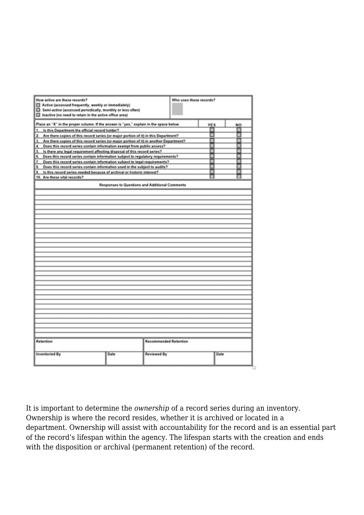| How active are these records?                                                               |                                                |                       | Who uses these records? |            |           |
|---------------------------------------------------------------------------------------------|------------------------------------------------|-----------------------|-------------------------|------------|-----------|
| Active (accessed frequently, weekly or immediately)                                         |                                                |                       |                         |            |           |
| Semi-active (accessed periodically, monthly or less often)                                  |                                                |                       |                         |            |           |
| Inactive (no need to retain in the active office area)                                      |                                                |                       |                         |            |           |
| Place an "X" in the proper column. If the answer is "yes," explain in the space below.      |                                                |                       |                         | <b>YES</b> | <b>NO</b> |
| Is this Department the official record holder?<br>1.                                        |                                                |                       |                         |            |           |
| 2. Are there copies of this record series (or major portion of it) in this Department?      |                                                |                       |                         | ■          | ■         |
| Are there copies of this record series (or major portion of it) in another Department?<br>2 |                                                |                       |                         | ■          | ■         |
| 4. Does this record series contain information exempt from public access?                   |                                                |                       |                         |            |           |
| Is there any legal requirement affecting disposal of this record series?<br>5.              |                                                |                       |                         |            |           |
| 6. Does this record series contain information subject to regulatory requirements?          |                                                |                       |                         |            |           |
| 7. Does this record series contain information subject to legal requirements?               |                                                |                       |                         |            |           |
| 8. Does this record series contain information used in the subject to audits?               |                                                |                       |                         |            |           |
| Is this record series needed because of archival or historic interest?                      |                                                |                       |                         |            |           |
| 10. Are these vital records?                                                                |                                                |                       |                         |            |           |
|                                                                                             | Responses to Questions and Additional Comments |                       |                         |            |           |
|                                                                                             |                                                |                       |                         |            |           |
|                                                                                             |                                                |                       |                         |            |           |
|                                                                                             |                                                |                       |                         |            |           |
|                                                                                             |                                                |                       |                         |            |           |
|                                                                                             |                                                |                       |                         |            |           |
|                                                                                             |                                                |                       |                         |            |           |
|                                                                                             |                                                |                       |                         |            |           |
|                                                                                             |                                                |                       |                         |            |           |
|                                                                                             |                                                |                       |                         |            |           |
|                                                                                             |                                                |                       |                         |            |           |
|                                                                                             |                                                |                       |                         |            |           |
|                                                                                             |                                                |                       |                         |            |           |
|                                                                                             |                                                |                       |                         |            |           |
|                                                                                             |                                                |                       |                         |            |           |
|                                                                                             |                                                |                       |                         |            |           |
|                                                                                             |                                                |                       |                         |            |           |
|                                                                                             |                                                |                       |                         |            |           |
|                                                                                             |                                                |                       |                         |            |           |
|                                                                                             |                                                |                       |                         |            |           |
|                                                                                             |                                                |                       |                         |            |           |
|                                                                                             |                                                |                       |                         |            |           |
|                                                                                             |                                                |                       |                         |            |           |
|                                                                                             |                                                |                       |                         |            |           |
|                                                                                             |                                                |                       |                         |            |           |
|                                                                                             |                                                |                       |                         |            |           |
|                                                                                             |                                                |                       |                         |            |           |
|                                                                                             |                                                |                       |                         |            |           |
|                                                                                             |                                                |                       |                         |            |           |
|                                                                                             |                                                |                       |                         |            |           |
| Retention                                                                                   |                                                | Recommended Retention |                         |            |           |
| <b>Inventoried By</b>                                                                       | Date                                           | <b>Reviewed By</b>    |                         | Date       |           |
|                                                                                             |                                                |                       |                         |            |           |
|                                                                                             |                                                |                       |                         |            |           |
|                                                                                             |                                                |                       |                         |            |           |

It is important to determine the *ownership* of a record series during an inventory. Ownership is where the record resides, whether it is archived or located in a department. Ownership will assist with accountability for the record and is an essential part of the record's lifespan within the agency. The lifespan starts with the creation and ends with the disposition or archival (permanent retention) of the record.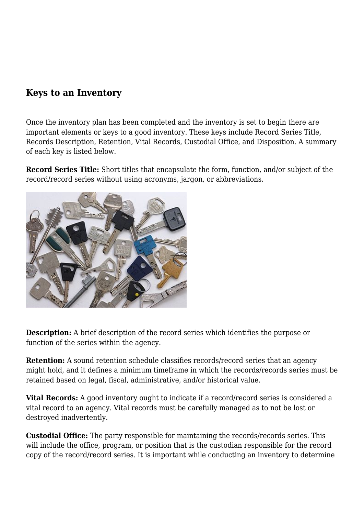#### **Keys to an Inventory**

Once the inventory plan has been completed and the inventory is set to begin there are important elements or keys to a good inventory. These keys include Record Series Title, Records Description, Retention, Vital Records, Custodial Office, and Disposition. A summary of each key is listed below.

**Record Series Title:** Short titles that encapsulate the form, function, and/or subject of the record/record series without using acronyms, jargon, or abbreviations.



**Description:** A brief description of the record series which identifies the purpose or function of the series within the agency.

**Retention:** A sound retention schedule classifies records/record series that an agency might hold, and it defines a minimum timeframe in which the records/records series must be retained based on legal, fiscal, administrative, and/or historical value.

**Vital Records:** A good inventory ought to indicate if a record/record series is considered a vital record to an agency. Vital records must be carefully managed as to not be lost or destroyed inadvertently.

**Custodial Office:** The party responsible for maintaining the records/records series. This will include the office, program, or position that is the custodian responsible for the record copy of the record/record series. It is important while conducting an inventory to determine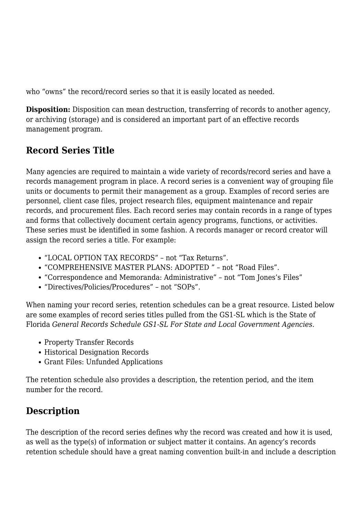who "owns" the record/record series so that it is easily located as needed.

**Disposition:** Disposition can mean destruction, transferring of records to another agency, or archiving (storage) and is considered an important part of an effective records management program.

#### **Record Series Title**

Many agencies are required to maintain a wide variety of records/record series and have a records management program in place. A record series is a convenient way of grouping file units or documents to permit their management as a group. Examples of record series are personnel, client case files, project research files, equipment maintenance and repair records, and procurement files. Each record series may contain records in a range of types and forms that collectively document certain agency programs, functions, or activities. These series must be identified in some fashion. A records manager or record creator will assign the record series a title. For example:

- "LOCAL OPTION TAX RECORDS" not "Tax Returns".
- "COMPREHENSIVE MASTER PLANS: ADOPTED " not "Road Files".
- "Correspondence and Memoranda: Administrative" not "Tom Jones's Files"
- "Directives/Policies/Procedures" not "SOPs".

When naming your record series, retention schedules can be a great resource. Listed below are some examples of record series titles pulled from the GS1-SL which is the State of Florida *General Records Schedule GS1-SL For State and Local Government Agencies.*

- Property Transfer Records
- Historical Designation Records
- Grant Files: Unfunded Applications

The retention schedule also provides a description, the retention period, and the item number for the record.

#### **Description**

The description of the record series defines why the record was created and how it is used, as well as the type(s) of information or subject matter it contains. An agency's records retention schedule should have a great naming convention built-in and include a description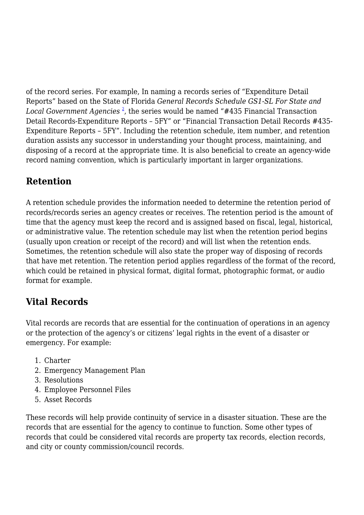of the record series. For example, In naming a records series of "Expenditure Detail Reports" based on the State of Florida *General Records Schedule GS1-SL For State and Local Government Agencies* [2](https://magazine.arma.org/javascript:void(0)) , the series would be named "#435 Financial Transaction Detail Records-Expenditure Reports – 5FY" or "Financial Transaction Detail Records #435- Expenditure Reports – 5FY". Including the retention schedule, item number, and retention duration assists any successor in understanding your thought process, maintaining, and disposing of a record at the appropriate time. It is also beneficial to create an agency-wide record naming convention, which is particularly important in larger organizations.

## **Retention**

A retention schedule provides the information needed to determine the retention period of records/records series an agency creates or receives. The retention period is the amount of time that the agency must keep the record and is assigned based on fiscal, legal, historical, or administrative value. The retention schedule may list when the retention period begins (usually upon creation or receipt of the record) and will list when the retention ends. Sometimes, the retention schedule will also state the proper way of disposing of records that have met retention. The retention period applies regardless of the format of the record, which could be retained in physical format, digital format, photographic format, or audio format for example.

## **Vital Records**

Vital records are records that are essential for the continuation of operations in an agency or the protection of the agency's or citizens' legal rights in the event of a disaster or emergency. For example:

- 1. Charter
- 2. Emergency Management Plan
- 3. Resolutions
- 4. Employee Personnel Files
- 5. Asset Records

These records will help provide continuity of service in a disaster situation. These are the records that are essential for the agency to continue to function. Some other types of records that could be considered vital records are property tax records, election records, and city or county commission/council records.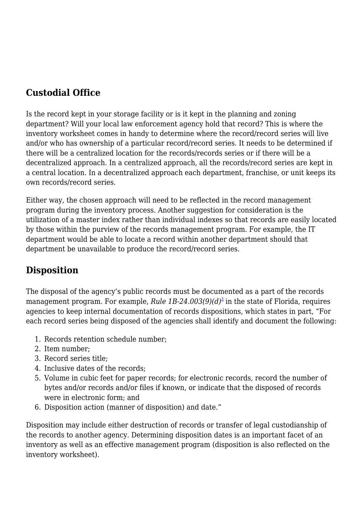#### **Custodial Office**

Is the record kept in your storage facility or is it kept in the planning and zoning department? Will your local law enforcement agency hold that record? This is where the inventory worksheet comes in handy to determine where the record/record series will live and/or who has ownership of a particular record/record series. It needs to be determined if there will be a centralized location for the records/records series or if there will be a decentralized approach. In a centralized approach, all the records/record series are kept in a central location. In a decentralized approach each department, franchise, or unit keeps its own records/record series.

Either way, the chosen approach will need to be reflected in the record management program during the inventory process. Another suggestion for consideration is the utilization of a master index rather than individual indexes so that records are easily located by those within the purview of the records management program. For example, the IT department would be able to locate a record within another department should that department be unavailable to produce the record/record series.

## **Disposition**

The disposal of the agency's public records must be documented as a part of the records management program. For example, *Rule 1B-24.003(9)(d)*[3](https://magazine.arma.org/javascript:void(0)) in the state of Florida, requires agencies to keep internal documentation of records dispositions, which states in part, "For each record series being disposed of the agencies shall identify and document the following:

- 1. Records retention schedule number;
- 2. Item number;
- 3. Record series title;
- 4. Inclusive dates of the records;
- 5. Volume in cubic feet for paper records; for electronic records, record the number of bytes and/or records and/or files if known, or indicate that the disposed of records were in electronic form; and
- 6. Disposition action (manner of disposition) and date."

Disposition may include either destruction of records or transfer of legal custodianship of the records to another agency. Determining disposition dates is an important facet of an inventory as well as an effective management program (disposition is also reflected on the inventory worksheet).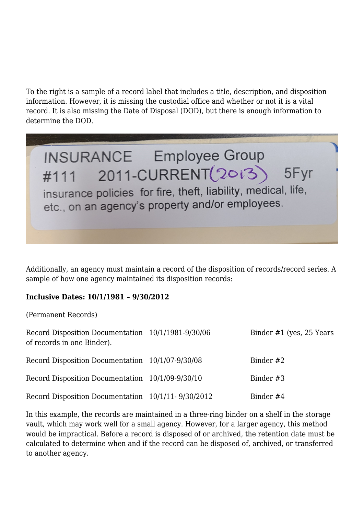To the right is a sample of a record label that includes a title, description, and disposition information. However, it is missing the custodial office and whether or not it is a vital record. It is also missing the Date of Disposal (DOD), but there is enough information to determine the DOD.



Additionally, an agency must maintain a record of the disposition of records/record series. A sample of how one agency maintained its disposition records:

#### **Inclusive Dates: 10/1/1981 – 9/30/2012**

(Permanent Records)

| Record Disposition Documentation 10/1/1981-9/30/06<br>of records in one Binder). | Binder $#1$ (yes, 25 Years) |
|----------------------------------------------------------------------------------|-----------------------------|
| Record Disposition Documentation 10/1/07-9/30/08                                 | Binder #2                   |
| Record Disposition Documentation 10/1/09-9/30/10                                 | Binder #3                   |
| Record Disposition Documentation 10/1/11-9/30/2012                               | Binder #4                   |

In this example, the records are maintained in a three-ring binder on a shelf in the storage vault, which may work well for a small agency. However, for a larger agency, this method would be impractical. Before a record is disposed of or archived, the retention date must be calculated to determine when and if the record can be disposed of, archived, or transferred to another agency.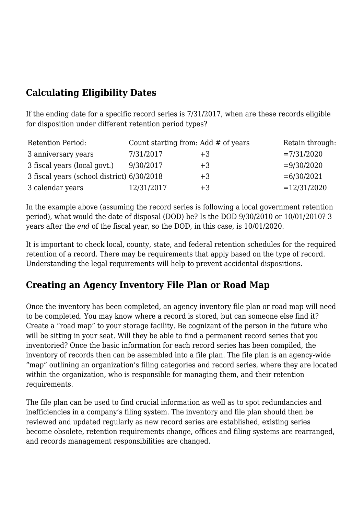#### **Calculating Eligibility Dates**

If the ending date for a specific record series is 7/31/2017, when are these records eligible for disposition under different retention period types?

| <b>Retention Period:</b>                   | Count starting from: Add $#$ of years |      | Retain through: |
|--------------------------------------------|---------------------------------------|------|-----------------|
| 3 anniversary years                        | 7/31/2017                             | $+3$ | $=7/31/2020$    |
| 3 fiscal years (local govt.)               | 9/30/2017                             | $+3$ | $= 9/30/2020$   |
| 3 fiscal years (school district) 6/30/2018 |                                       | $+3$ | $= 6/30/2021$   |
| 3 calendar years                           | 12/31/2017                            | $+3$ | $=12/31/2020$   |

In the example above (assuming the record series is following a local government retention period), what would the date of disposal (DOD) be? Is the DOD 9/30/2010 or 10/01/2010? 3 years after the *end* of the fiscal year, so the DOD, in this case, is 10/01/2020.

It is important to check local, county, state, and federal retention schedules for the required retention of a record. There may be requirements that apply based on the type of record. Understanding the legal requirements will help to prevent accidental dispositions.

#### **Creating an Agency Inventory File Plan or Road Map**

Once the inventory has been completed, an agency inventory file plan or road map will need to be completed. You may know where a record is stored, but can someone else find it? Create a "road map" to your storage facility. Be cognizant of the person in the future who will be sitting in your seat. Will they be able to find a permanent record series that you inventoried? Once the basic information for each record series has been compiled, the inventory of records then can be assembled into a file plan. The file plan is an agency-wide "map" outlining an organization's filing categories and record series, where they are located within the organization, who is responsible for managing them, and their retention requirements.

The file plan can be used to find crucial information as well as to spot redundancies and inefficiencies in a company's filing system. The inventory and file plan should then be reviewed and updated regularly as new record series are established, existing series become obsolete, retention requirements change, offices and filing systems are rearranged, and records management responsibilities are changed.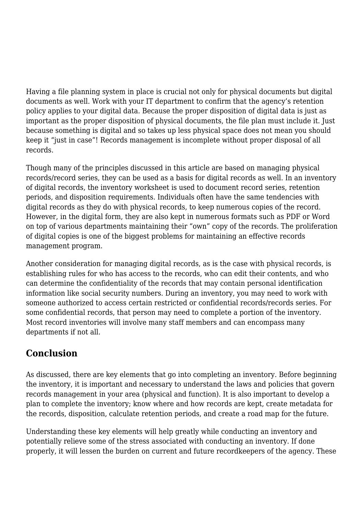Having a file planning system in place is crucial not only for physical documents but digital documents as well. Work with your IT department to confirm that the agency's retention policy applies to your digital data. Because the proper disposition of digital data is just as important as the proper disposition of physical documents, the file plan must include it. Just because something is digital and so takes up less physical space does not mean you should keep it "just in case"! Records management is incomplete without proper disposal of all records.

Though many of the principles discussed in this article are based on managing physical records/record series, they can be used as a basis for digital records as well. In an inventory of digital records, the inventory worksheet is used to document record series, retention periods, and disposition requirements. Individuals often have the same tendencies with digital records as they do with physical records, to keep numerous copies of the record. However, in the digital form, they are also kept in numerous formats such as PDF or Word on top of various departments maintaining their "own" copy of the records. The proliferation of digital copies is one of the biggest problems for maintaining an effective records management program.

Another consideration for managing digital records, as is the case with physical records, is establishing rules for who has access to the records, who can edit their contents, and who can determine the confidentiality of the records that may contain personal identification information like social security numbers. During an inventory, you may need to work with someone authorized to access certain restricted or confidential records/records series. For some confidential records, that person may need to complete a portion of the inventory. Most record inventories will involve many staff members and can encompass many departments if not all.

## **Conclusion**

As discussed, there are key elements that go into completing an inventory. Before beginning the inventory, it is important and necessary to understand the laws and policies that govern records management in your area (physical and function). It is also important to develop a plan to complete the inventory; know where and how records are kept, create metadata for the records, disposition, calculate retention periods, and create a road map for the future.

Understanding these key elements will help greatly while conducting an inventory and potentially relieve some of the stress associated with conducting an inventory. If done properly, it will lessen the burden on current and future recordkeepers of the agency. These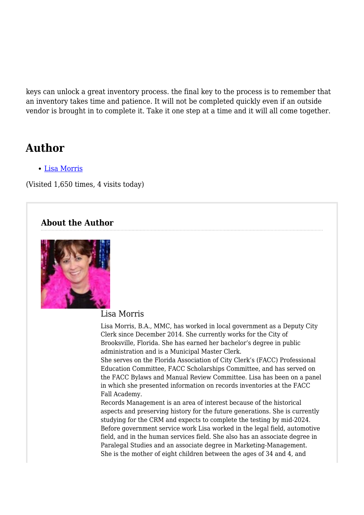keys can unlock a great inventory process. the final key to the process is to remember that an inventory takes time and patience. It will not be completed quickly even if an outside vendor is brought in to complete it. Take it one step at a time and it will all come together.

# **Author**

[Lisa Morris](https://magazine.arma.org/author/lmorriscityofbrooksville-us/)

(Visited 1,650 times, 4 visits today)

#### **About the Author**



#### Lisa Morris

Lisa Morris, B.A., MMC, has worked in local government as a Deputy City Clerk since December 2014. She currently works for the City of Brooksville, Florida. She has earned her bachelor's degree in public administration and is a Municipal Master Clerk.

She serves on the Florida Association of City Clerk's (FACC) Professional Education Committee, FACC Scholarships Committee, and has served on the FACC Bylaws and Manual Review Committee. Lisa has been on a panel in which she presented information on records inventories at the FACC Fall Academy.

Records Management is an area of interest because of the historical aspects and preserving history for the future generations. She is currently studying for the CRM and expects to complete the testing by mid-2024. Before government service work Lisa worked in the legal field, automotive field, and in the human services field. She also has an associate degree in Paralegal Studies and an associate degree in Marketing-Management. She is the mother of eight children between the ages of 34 and 4, and